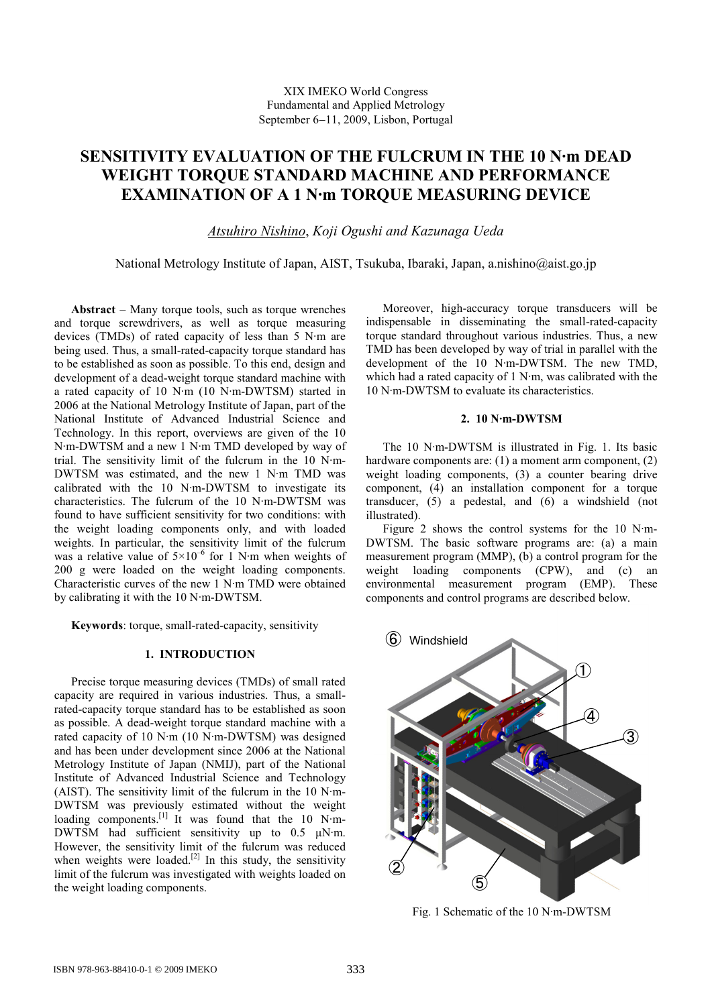# **SENSITIVITY EVALUATION OF THE FULCRUM IN THE 10 N·m DEAD WEIGHT TORQUE STANDARD MACHINE AND PERFORMANCE EXAMINATION OF A 1 N·m TORQUE MEASURING DEVICE**

*Atsuhiro Nishino*, *Koji Ogushi and Kazunaga Ueda* 

National Metrology Institute of Japan, AIST, Tsukuba, Ibaraki, Japan, a.nishino@aist.go.jp

**Abstract** − Many torque tools, such as torque wrenches and torque screwdrivers, as well as torque measuring devices (TMDs) of rated capacity of less than 5 N·m are being used. Thus, a small-rated-capacity torque standard has to be established as soon as possible. To this end, design and development of a dead-weight torque standard machine with a rated capacity of 10 N·m (10 N·m-DWTSM) started in 2006 at the National Metrology Institute of Japan, part of the National Institute of Advanced Industrial Science and Technology. In this report, overviews are given of the 10 N·m-DWTSM and a new 1 N·m TMD developed by way of trial. The sensitivity limit of the fulcrum in the 10 N·m-DWTSM was estimated, and the new 1 N·m TMD was calibrated with the 10 N·m-DWTSM to investigate its characteristics. The fulcrum of the 10 N·m-DWTSM was found to have sufficient sensitivity for two conditions: with the weight loading components only, and with loaded weights. In particular, the sensitivity limit of the fulcrum was a relative value of  $5 \times 10^{-6}$  for 1 N·m when weights of 200 g were loaded on the weight loading components. Characteristic curves of the new 1 N·m TMD were obtained by calibrating it with the 10 N·m-DWTSM.

**Keywords**: torque, small-rated-capacity, sensitivity

### **1. INTRODUCTION**

Precise torque measuring devices (TMDs) of small rated capacity are required in various industries. Thus, a smallrated-capacity torque standard has to be established as soon as possible. A dead-weight torque standard machine with a rated capacity of 10 N·m (10 N·m-DWTSM) was designed and has been under development since 2006 at the National Metrology Institute of Japan (NMIJ), part of the National Institute of Advanced Industrial Science and Technology (AIST). The sensitivity limit of the fulcrum in the 10 N·m-DWTSM was previously estimated without the weight loading components. $\begin{bmatrix} 1 \end{bmatrix}$  It was found that the 10 N·m-DWTSM had sufficient sensitivity up to 0.5  $\mu$ N·m. However, the sensitivity limit of the fulcrum was reduced when weights were loaded.<sup>[2]</sup> In this study, the sensitivity limit of the fulcrum was investigated with weights loaded on the weight loading components.

Moreover, high-accuracy torque transducers will be indispensable in disseminating the small-rated-capacity torque standard throughout various industries. Thus, a new TMD has been developed by way of trial in parallel with the development of the 10 N·m-DWTSM. The new TMD, which had a rated capacity of 1 N·m, was calibrated with the 10 N·m-DWTSM to evaluate its characteristics.

### **2. 10 N·m-DWTSM**

The 10 N·m-DWTSM is illustrated in Fig. 1. Its basic hardware components are: (1) a moment arm component, (2) weight loading components, (3) a counter bearing drive component, (4) an installation component for a torque transducer, (5) a pedestal, and (6) a windshield (not illustrated).

Figure 2 shows the control systems for the 10 N·m-DWTSM. The basic software programs are: (a) a main measurement program (MMP), (b) a control program for the weight loading components (CPW), and (c) an environmental measurement program (EMP). These components and control programs are described below.



Fig. 1 Schematic of the 10 N·m-DWTSM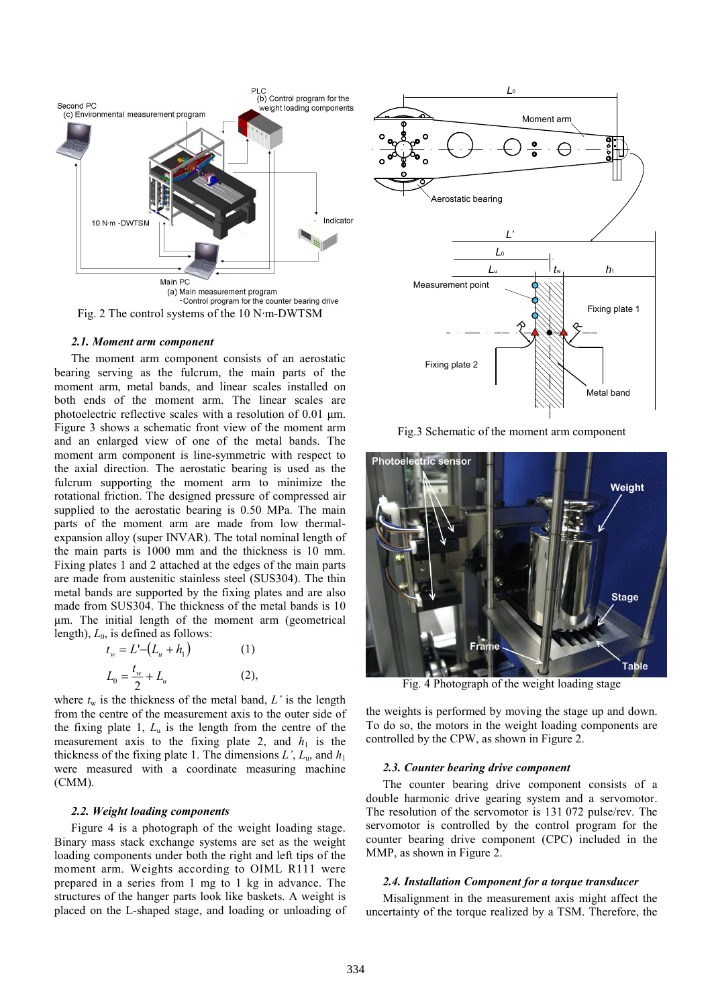

#### *2.1. Moment arm component*

The moment arm component consists of an aerostatic bearing serving as the fulcrum, the main parts of the moment arm, metal bands, and linear scales installed on both ends of the moment arm. The linear scales are photoelectric reflective scales with a resolution of 0.01 um. Figure 3 shows a schematic front view of the moment arm and an enlarged view of one of the metal bands. The moment arm component is line-symmetric with respect to the axial direction. The aerostatic bearing is used as the fulcrum supporting the moment arm to minimize the rotational friction. The designed pressure of compressed air supplied to the aerostatic bearing is 0.50 MPa. The main parts of the moment arm are made from low thermalexpansion alloy (super INVAR). The total nominal length of the main parts is 1000 mm and the thickness is 10 mm. Fixing plates 1 and 2 attached at the edges of the main parts are made from austenitic stainless steel (SUS304). The thin metal bands are supported by the fixing plates and are also made from SUS304. The thickness of the metal bands is 10 µm. The initial length of the moment arm (geometrical length),  $L_0$ , is defined as follows:

$$
t_w = L' - (L_u + h_1)
$$
 (1)  

$$
L_0 = \frac{t_w}{2} + L_u
$$
 (2),

where  $t_w$  is the thickness of the metal band,  $L'$  is the length from the centre of the measurement axis to the outer side of the fixing plate 1, *L*u is the length from the centre of the measurement axis to the fixing plate 2, and  $h_1$  is the thickness of the fixing plate 1. The dimensions  $L^{\prime}$ ,  $L_{\text{u}}$ , and  $h_1$ were measured with a coordinate measuring machine (CMM).

#### *2.2. Weight loading components*

Figure 4 is a photograph of the weight loading stage. Binary mass stack exchange systems are set as the weight loading components under both the right and left tips of the moment arm. Weights according to OIML R111 were prepared in a series from 1 mg to 1 kg in advance. The structures of the hanger parts look like baskets. A weight is placed on the L-shaped stage, and loading or unloading of



Fig.3 Schematic of the moment arm component



Fig. 4 Photograph of the weight loading stage

the weights is performed by moving the stage up and down. To do so, the motors in the weight loading components are controlled by the CPW, as shown in Figure 2.

#### *2.3. Counter bearing drive component*

The counter bearing drive component consists of a double harmonic drive gearing system and a servomotor. The resolution of the servomotor is 131 072 pulse/rev. The servomotor is controlled by the control program for the counter bearing drive component (CPC) included in the MMP, as shown in Figure 2.

#### *2.4. Installation Component for a torque transducer*

Misalignment in the measurement axis might affect the uncertainty of the torque realized by a TSM. Therefore, the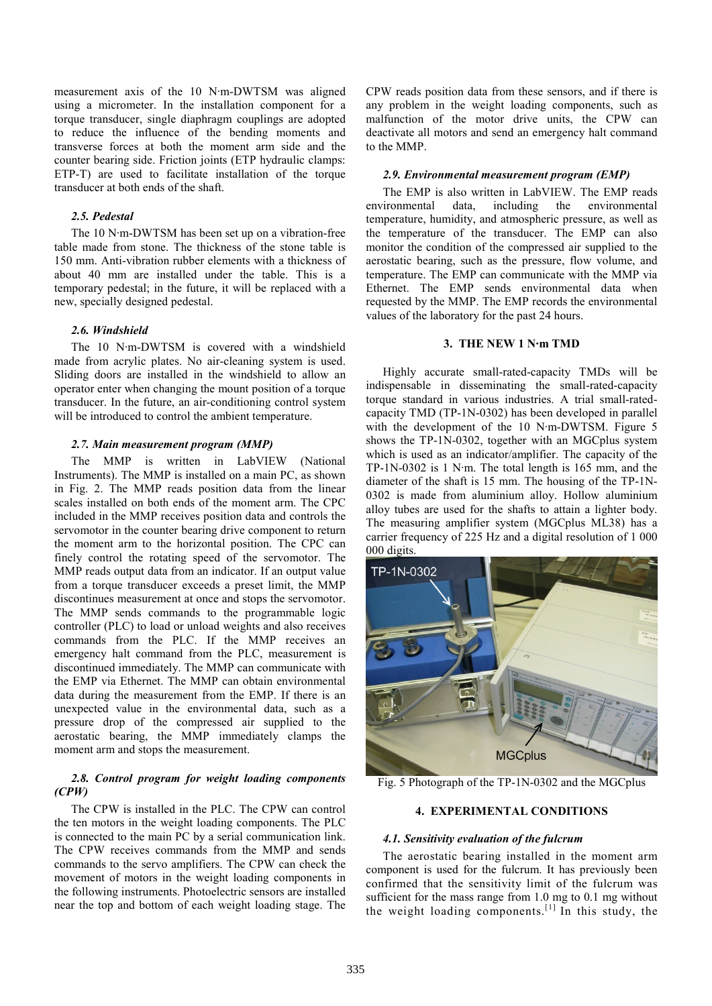measurement axis of the 10 N·m-DWTSM was aligned using a micrometer. In the installation component for a torque transducer, single diaphragm couplings are adopted to reduce the influence of the bending moments and transverse forces at both the moment arm side and the counter bearing side. Friction joints (ETP hydraulic clamps: ETP-T) are used to facilitate installation of the torque transducer at both ends of the shaft.

### *2.5. Pedestal*

The 10 N·m-DWTSM has been set up on a vibration-free table made from stone. The thickness of the stone table is 150 mm. Anti-vibration rubber elements with a thickness of about 40 mm are installed under the table. This is a temporary pedestal; in the future, it will be replaced with a new, specially designed pedestal.

#### *2.6. Windshield*

The 10 N·m-DWTSM is covered with a windshield made from acrylic plates. No air-cleaning system is used. Sliding doors are installed in the windshield to allow an operator enter when changing the mount position of a torque transducer. In the future, an air-conditioning control system will be introduced to control the ambient temperature.

#### *2.7. Main measurement program (MMP)*

The MMP is written in LabVIEW (National Instruments). The MMP is installed on a main PC, as shown in Fig. 2. The MMP reads position data from the linear scales installed on both ends of the moment arm. The CPC included in the MMP receives position data and controls the servomotor in the counter bearing drive component to return the moment arm to the horizontal position. The CPC can finely control the rotating speed of the servomotor. The MMP reads output data from an indicator. If an output value from a torque transducer exceeds a preset limit, the MMP discontinues measurement at once and stops the servomotor. The MMP sends commands to the programmable logic controller (PLC) to load or unload weights and also receives commands from the PLC. If the MMP receives an emergency halt command from the PLC, measurement is discontinued immediately. The MMP can communicate with the EMP via Ethernet. The MMP can obtain environmental data during the measurement from the EMP. If there is an unexpected value in the environmental data, such as a pressure drop of the compressed air supplied to the aerostatic bearing, the MMP immediately clamps the moment arm and stops the measurement.

## *2.8. Control program for weight loading components (CPW)*

The CPW is installed in the PLC. The CPW can control the ten motors in the weight loading components. The PLC is connected to the main PC by a serial communication link. The CPW receives commands from the MMP and sends commands to the servo amplifiers. The CPW can check the movement of motors in the weight loading components in the following instruments. Photoelectric sensors are installed near the top and bottom of each weight loading stage. The

CPW reads position data from these sensors, and if there is any problem in the weight loading components, such as malfunction of the motor drive units, the CPW can deactivate all motors and send an emergency halt command to the MMP.

### *2.9. Environmental measurement program (EMP)*

The EMP is also written in LabVIEW. The EMP reads environmental data, including the environmental temperature, humidity, and atmospheric pressure, as well as the temperature of the transducer. The EMP can also monitor the condition of the compressed air supplied to the aerostatic bearing, such as the pressure, flow volume, and temperature. The EMP can communicate with the MMP via Ethernet. The EMP sends environmental data when requested by the MMP. The EMP records the environmental values of the laboratory for the past 24 hours.

### **3. THE NEW 1 N·m TMD**

Highly accurate small-rated-capacity TMDs will be indispensable in disseminating the small-rated-capacity torque standard in various industries. A trial small-ratedcapacity TMD (TP-1N-0302) has been developed in parallel with the development of the 10 N·m-DWTSM. Figure 5 shows the TP-1N-0302, together with an MGCplus system which is used as an indicator/amplifier. The capacity of the TP-1N-0302 is 1 N·m. The total length is 165 mm, and the diameter of the shaft is 15 mm. The housing of the TP-1N-0302 is made from aluminium alloy. Hollow aluminium alloy tubes are used for the shafts to attain a lighter body. The measuring amplifier system (MGCplus ML38) has a carrier frequency of 225 Hz and a digital resolution of 1 000 000 digits.



Fig. 5 Photograph of the TP-1N-0302 and the MGCplus

### **4. EXPERIMENTAL CONDITIONS**

### *4.1. Sensitivity evaluation of the fulcrum*

The aerostatic bearing installed in the moment arm component is used for the fulcrum. It has previously been confirmed that the sensitivity limit of the fulcrum was sufficient for the mass range from 1.0 mg to 0.1 mg without the weight loading components.<sup>[1]</sup> In this study, the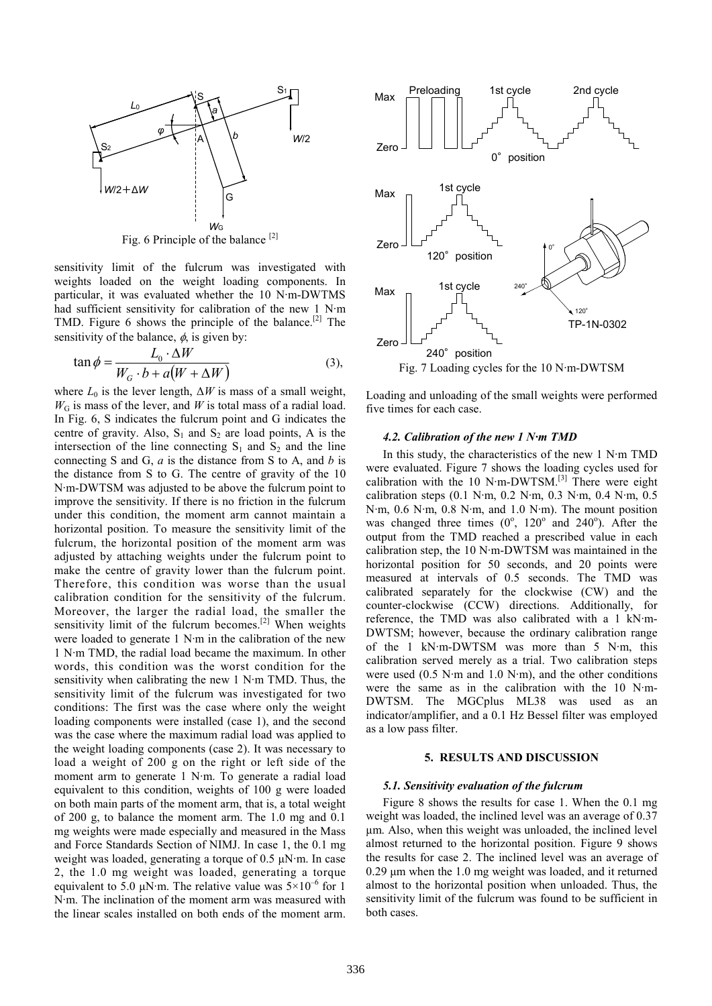

Fig. 6 Principle of the balance [2]

sensitivity limit of the fulcrum was investigated with weights loaded on the weight loading components. In particular, it was evaluated whether the 10 N·m-DWTMS had sufficient sensitivity for calibration of the new 1 N·m TMD. Figure 6 shows the principle of the balance.<sup>[2]</sup> The sensitivity of the balance,  $\phi$ , is given by:

$$
\tan \phi = \frac{L_0 \cdot \Delta W}{W_G \cdot b + a(W + \Delta W)}
$$
(3),

where  $L_0$  is the lever length,  $\Delta W$  is mass of a small weight,  $W<sub>G</sub>$  is mass of the lever, and *W* is total mass of a radial load. In Fig. 6, S indicates the fulcrum point and G indicates the centre of gravity. Also,  $S_1$  and  $S_2$  are load points, A is the intersection of the line connecting  $S_1$  and  $S_2$  and the line connecting S and G, *a* is the distance from S to A, and *b* is the distance from S to G. The centre of gravity of the 10 N·m-DWTSM was adjusted to be above the fulcrum point to improve the sensitivity. If there is no friction in the fulcrum under this condition, the moment arm cannot maintain a horizontal position. To measure the sensitivity limit of the fulcrum, the horizontal position of the moment arm was adjusted by attaching weights under the fulcrum point to make the centre of gravity lower than the fulcrum point. Therefore, this condition was worse than the usual calibration condition for the sensitivity of the fulcrum. Moreover, the larger the radial load, the smaller the sensitivity limit of the fulcrum becomes.<sup>[2]</sup> When weights were loaded to generate 1 N·m in the calibration of the new 1 N·m TMD, the radial load became the maximum. In other words, this condition was the worst condition for the sensitivity when calibrating the new 1 N·m TMD. Thus, the sensitivity limit of the fulcrum was investigated for two conditions: The first was the case where only the weight loading components were installed (case 1), and the second was the case where the maximum radial load was applied to the weight loading components (case 2). It was necessary to load a weight of 200 g on the right or left side of the moment arm to generate 1 N·m. To generate a radial load equivalent to this condition, weights of 100 g were loaded on both main parts of the moment arm, that is, a total weight of 200 g, to balance the moment arm. The 1.0 mg and 0.1 mg weights were made especially and measured in the Mass and Force Standards Section of NIMJ. In case 1, the 0.1 mg weight was loaded, generating a torque of 0.5  $\mu$ N·m. In case 2, the 1.0 mg weight was loaded, generating a torque equivalent to 5.0  $\mu$ N·m. The relative value was  $5\times10^{-6}$  for 1 N·m. The inclination of the moment arm was measured with the linear scales installed on both ends of the moment arm.



Loading and unloading of the small weights were performed five times for each case.

#### *4.2. Calibration of the new 1 N·m TMD*

In this study, the characteristics of the new 1 N·m TMD were evaluated. Figure 7 shows the loading cycles used for calibration with the 10 N·m-DWTSM.[3] There were eight calibration steps (0.1 N·m, 0.2 N·m, 0.3 N·m, 0.4 N·m, 0.5 N·m, 0.6 N·m, 0.8 N·m, and 1.0 N·m). The mount position was changed three times  $(0^{\circ}, 120^{\circ}$  and  $240^{\circ})$ . After the output from the TMD reached a prescribed value in each calibration step, the 10 N·m-DWTSM was maintained in the horizontal position for 50 seconds, and 20 points were measured at intervals of 0.5 seconds. The TMD was calibrated separately for the clockwise (CW) and the counter-clockwise (CCW) directions. Additionally, for reference, the TMD was also calibrated with a 1 kN·m-DWTSM; however, because the ordinary calibration range of the 1 kN·m-DWTSM was more than 5 N·m, this calibration served merely as a trial. Two calibration steps were used (0.5 N·m and 1.0 N·m), and the other conditions were the same as in the calibration with the 10 N·m-DWTSM. The MGCplus ML38 was used as an indicator/amplifier, and a 0.1 Hz Bessel filter was employed as a low pass filter.

#### **5. RESULTS AND DISCUSSION**

#### *5.1. Sensitivity evaluation of the fulcrum*

Figure 8 shows the results for case 1. When the 0.1 mg weight was loaded, the inclined level was an average of 0.37 µm. Also, when this weight was unloaded, the inclined level almost returned to the horizontal position. Figure 9 shows the results for case 2. The inclined level was an average of  $0.29$  um when the 1.0 mg weight was loaded, and it returned almost to the horizontal position when unloaded. Thus, the sensitivity limit of the fulcrum was found to be sufficient in both cases.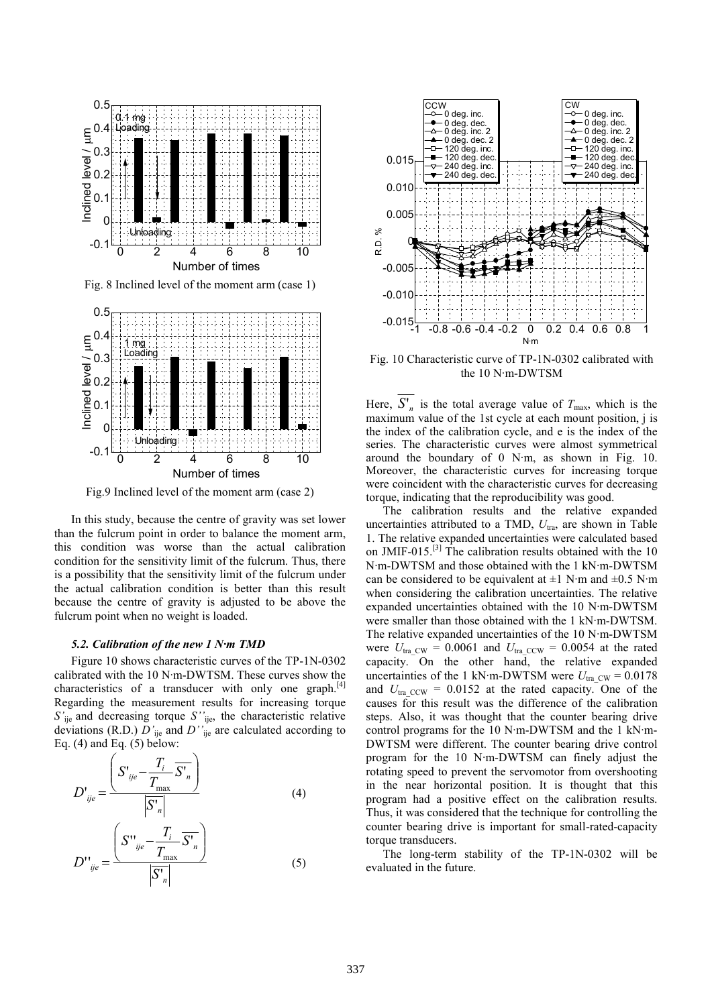

Fig. 8 Inclined level of the moment arm (case 1)



Fig.9 Inclined level of the moment arm (case 2)

In this study, because the centre of gravity was set lower than the fulcrum point in order to balance the moment arm, this condition was worse than the actual calibration condition for the sensitivity limit of the fulcrum. Thus, there is a possibility that the sensitivity limit of the fulcrum under the actual calibration condition is better than this result because the centre of gravity is adjusted to be above the fulcrum point when no weight is loaded.

#### *5.2. Calibration of the new 1 N·m TMD*

Figure 10 shows characteristic curves of the TP-1N-0302 calibrated with the 10 N·m-DWTSM. These curves show the characteristics of a transducer with only one graph.<sup>[4]</sup> Regarding the measurement results for increasing torque *S'*ije and decreasing torque *S''*ije, the characteristic relative deviations (R.D.) *D'*ije and *D''*ije are calculated according to Eq.  $(4)$  and Eq.  $(5)$  below:

$$
D'_{\substack{\text{ije}}} = \frac{\left(S'_{\substack{\text{ije}}} - \frac{T_i}{T_{\text{max}}}\overline{S'}_n\right)}{\left|\overline{S'}_n\right|}
$$
(4)  

$$
D''_{\substack{\text{ije}}} = \frac{\left(S''_{\substack{\text{ije}}} - \frac{T_i}{T_{\text{max}}}\overline{S'}_n\right)}{\left|\overline{S'}_n\right|}
$$
(5)



Fig. 10 Characteristic curve of TP-1N-0302 calibrated with the 10 N·m-DWTSM

Here,  $S'_n$  is the total average value of  $T_{\text{max}}$ , which is the maximum value of the 1st cycle at each mount position, j is the index of the calibration cycle, and e is the index of the series. The characteristic curves were almost symmetrical around the boundary of 0 N·m, as shown in Fig. 10. Moreover, the characteristic curves for increasing torque were coincident with the characteristic curves for decreasing torque, indicating that the reproducibility was good.

The calibration results and the relative expanded uncertainties attributed to a TMD,  $U_{\text{tra}}$ , are shown in Table 1. The relative expanded uncertainties were calculated based on JMIF-015.<sup>[3]</sup> The calibration results obtained with the 10 N·m-DWTSM and those obtained with the 1 kN·m-DWTSM can be considered to be equivalent at  $\pm 1$  N·m and  $\pm 0.5$  N·m when considering the calibration uncertainties. The relative expanded uncertainties obtained with the 10 N·m-DWTSM were smaller than those obtained with the 1 kN·m-DWTSM. The relative expanded uncertainties of the 10 N·m-DWTSM were  $U_{\text{tra}}$ <sub>CW</sub> = 0.0061 and  $U_{\text{tra}}$ <sub>CCW</sub> = 0.0054 at the rated capacity. On the other hand, the relative expanded uncertainties of the 1 kN·m-DWTSM were  $U_{\text{tra-CW}} = 0.0178$ and  $U_{\text{tra~CCW}}$  = 0.0152 at the rated capacity. One of the causes for this result was the difference of the calibration steps. Also, it was thought that the counter bearing drive control programs for the 10 N·m-DWTSM and the 1 kN·m-DWTSM were different. The counter bearing drive control program for the 10 N·m-DWTSM can finely adjust the rotating speed to prevent the servomotor from overshooting in the near horizontal position. It is thought that this program had a positive effect on the calibration results. Thus, it was considered that the technique for controlling the counter bearing drive is important for small-rated-capacity torque transducers.

The long-term stability of the TP-1N-0302 will be evaluated in the future.